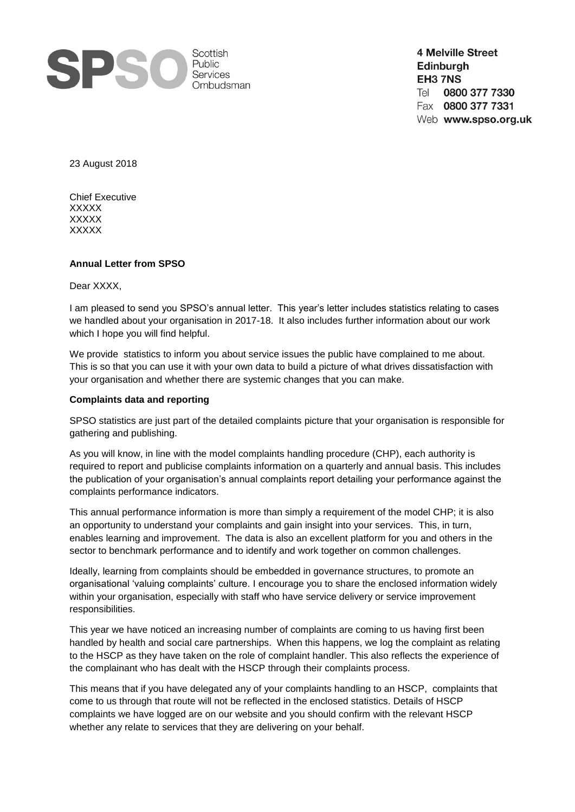

**4 Melville Street** Edinburgh EH3 7NS 0800 377 7330 Tel Fax 0800 377 7331 Web www.spso.org.uk

23 August 2018

Chief Executive XXXXX XXXXX XXXXX

### **Annual Letter from SPSO**

Dear XXXX,

I am pleased to send you SPSO's annual letter. This year's letter includes statistics relating to cases we handled about your organisation in 2017-18. It also includes further information about our work which I hope you will find helpful.

We provide statistics to inform you about service issues the public have complained to me about. This is so that you can use it with your own data to build a picture of what drives dissatisfaction with your organisation and whether there are systemic changes that you can make.

### **Complaints data and reporting**

SPSO statistics are just part of the detailed complaints picture that your organisation is responsible for gathering and publishing.

As you will know, in line with the model complaints handling procedure (CHP), each authority is required to report and publicise complaints information on a quarterly and annual basis. This includes the publication of your organisation's annual complaints report detailing your performance against the complaints performance indicators.

This annual performance information is more than simply a requirement of the model CHP; it is also an opportunity to understand your complaints and gain insight into your services. This, in turn, enables learning and improvement. The data is also an excellent platform for you and others in the sector to benchmark performance and to identify and work together on common challenges.

Ideally, learning from complaints should be embedded in governance structures, to promote an organisational 'valuing complaints' culture. I encourage you to share the enclosed information widely within your organisation, especially with staff who have service delivery or service improvement responsibilities.

This year we have noticed an increasing number of complaints are coming to us having first been handled by health and social care partnerships. When this happens, we log the complaint as relating to the HSCP as they have taken on the role of complaint handler. This also reflects the experience of the complainant who has dealt with the HSCP through their complaints process.

This means that if you have delegated any of your complaints handling to an HSCP, complaints that come to us through that route will not be reflected in the enclosed statistics. Details of HSCP complaints we have logged are on our website and you should confirm with the relevant HSCP whether any relate to services that they are delivering on your behalf.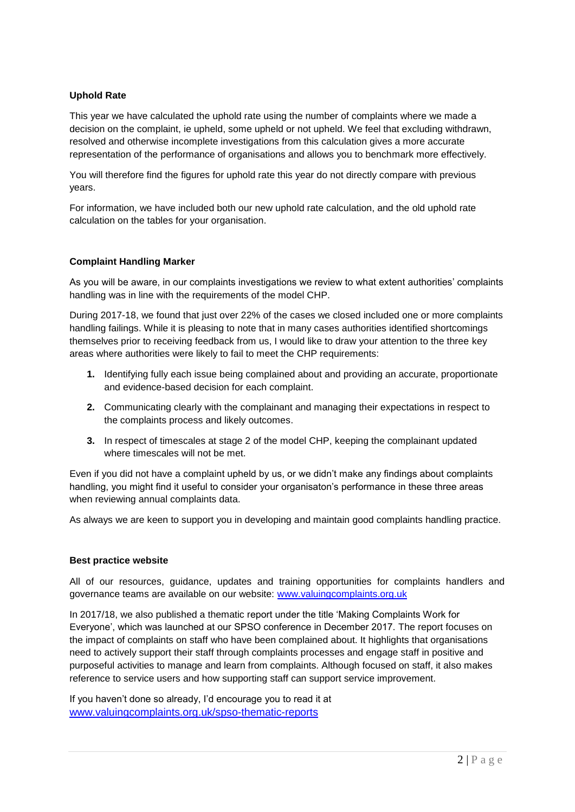# **Uphold Rate**

This year we have calculated the uphold rate using the number of complaints where we made a decision on the complaint, ie upheld, some upheld or not upheld. We feel that excluding withdrawn, resolved and otherwise incomplete investigations from this calculation gives a more accurate representation of the performance of organisations and allows you to benchmark more effectively.

You will therefore find the figures for uphold rate this year do not directly compare with previous years.

For information, we have included both our new uphold rate calculation, and the old uphold rate calculation on the tables for your organisation.

## **Complaint Handling Marker**

As you will be aware, in our complaints investigations we review to what extent authorities' complaints handling was in line with the requirements of the model CHP.

During 2017-18, we found that just over 22% of the cases we closed included one or more complaints handling failings. While it is pleasing to note that in many cases authorities identified shortcomings themselves prior to receiving feedback from us, I would like to draw your attention to the three key areas where authorities were likely to fail to meet the CHP requirements:

- **1.** Identifying fully each issue being complained about and providing an accurate, proportionate and evidence-based decision for each complaint.
- **2.** Communicating clearly with the complainant and managing their expectations in respect to the complaints process and likely outcomes.
- **3.** In respect of timescales at stage 2 of the model CHP, keeping the complainant updated where timescales will not be met.

Even if you did not have a complaint upheld by us, or we didn't make any findings about complaints handling, you might find it useful to consider your organisaton's performance in these three areas when reviewing annual complaints data.

As always we are keen to support you in developing and maintain good complaints handling practice.

#### **Best practice website**

All of our resources, guidance, updates and training opportunities for complaints handlers and governance teams are available on our website: [www.valuingcomplaints.org.uk](http://www.valuingcomplaints.org.uk/)

In 2017/18, we also published a thematic report under the title 'Making Complaints Work for Everyone', which was launched at our SPSO conference in December 2017. The report focuses on the impact of complaints on staff who have been complained about. It highlights that organisations need to actively support their staff through complaints processes and engage staff in positive and purposeful activities to manage and learn from complaints. Although focused on staff, it also makes reference to service users and how supporting staff can support service improvement.

If you haven't done so already, I'd encourage you to read it at [www.valuingcomplaints.org.uk/spso-thematic-reports](http://www.valuingcomplaints.org.uk/spso-thematic-reports)